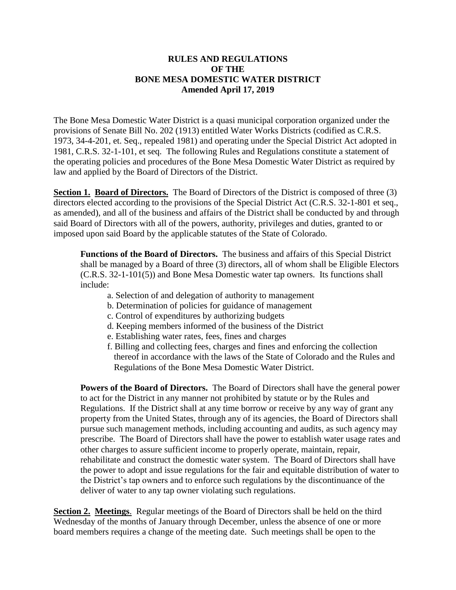#### **RULES AND REGULATIONS OF THE BONE MESA DOMESTIC WATER DISTRICT Amended April 17, 2019**

The Bone Mesa Domestic Water District is a quasi municipal corporation organized under the provisions of Senate Bill No. 202 (1913) entitled Water Works Districts (codified as C.R.S. 1973, 34-4-201, et. Seq., repealed 1981) and operating under the Special District Act adopted in 1981, C.R.S. 32-1-101, et seq. The following Rules and Regulations constitute a statement of the operating policies and procedures of the Bone Mesa Domestic Water District as required by law and applied by the Board of Directors of the District.

**Section 1. Board of Directors.** The Board of Directors of the District is composed of three (3) directors elected according to the provisions of the Special District Act (C.R.S. 32-1-801 et seq., as amended), and all of the business and affairs of the District shall be conducted by and through said Board of Directors with all of the powers, authority, privileges and duties, granted to or imposed upon said Board by the applicable statutes of the State of Colorado.

**Functions of the Board of Directors.** The business and affairs of this Special District shall be managed by a Board of three (3) directors, all of whom shall be Eligible Electors (C.R.S. 32-1-101(5)) and Bone Mesa Domestic water tap owners. Its functions shall include:

- a. Selection of and delegation of authority to management
- b. Determination of policies for guidance of management
- c. Control of expenditures by authorizing budgets
- d. Keeping members informed of the business of the District
- e. Establishing water rates, fees, fines and charges
- f. Billing and collecting fees, charges and fines and enforcing the collection thereof in accordance with the laws of the State of Colorado and the Rules and Regulations of the Bone Mesa Domestic Water District.

**Powers of the Board of Directors.** The Board of Directors shall have the general power to act for the District in any manner not prohibited by statute or by the Rules and Regulations. If the District shall at any time borrow or receive by any way of grant any property from the United States, through any of its agencies, the Board of Directors shall pursue such management methods, including accounting and audits, as such agency may prescribe. The Board of Directors shall have the power to establish water usage rates and other charges to assure sufficient income to properly operate, maintain, repair, rehabilitate and construct the domestic water system. The Board of Directors shall have the power to adopt and issue regulations for the fair and equitable distribution of water to the District's tap owners and to enforce such regulations by the discontinuance of the deliver of water to any tap owner violating such regulations.

**Section 2. Meetings**. Regular meetings of the Board of Directors shall be held on the third Wednesday of the months of January through December, unless the absence of one or more board members requires a change of the meeting date. Such meetings shall be open to the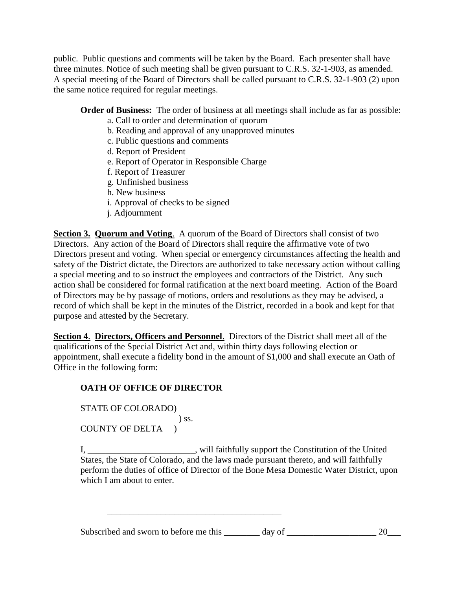public. Public questions and comments will be taken by the Board. Each presenter shall have three minutes. Notice of such meeting shall be given pursuant to C.R.S. 32-1-903, as amended. A special meeting of the Board of Directors shall be called pursuant to C.R.S. 32-1-903 (2) upon the same notice required for regular meetings.

## **Order of Business:** The order of business at all meetings shall include as far as possible:

- a. Call to order and determination of quorum
- b. Reading and approval of any unapproved minutes
- c. Public questions and comments
- d. Report of President
- e. Report of Operator in Responsible Charge
- f. Report of Treasurer
- g. Unfinished business
- h. New business
- i. Approval of checks to be signed
- j. Adjournment

**Section 3. Quorum and Voting.** A quorum of the Board of Directors shall consist of two Directors. Any action of the Board of Directors shall require the affirmative vote of two Directors present and voting. When special or emergency circumstances affecting the health and safety of the District dictate, the Directors are authorized to take necessary action without calling a special meeting and to so instruct the employees and contractors of the District. Any such action shall be considered for formal ratification at the next board meeting. Action of the Board of Directors may be by passage of motions, orders and resolutions as they may be advised, a record of which shall be kept in the minutes of the District, recorded in a book and kept for that purpose and attested by the Secretary.

**Section 4**. **Directors, Officers and Personnel**. Directors of the District shall meet all of the qualifications of the Special District Act and, within thirty days following election or appointment, shall execute a fidelity bond in the amount of \$1,000 and shall execute an Oath of Office in the following form:

# **OATH OF OFFICE OF DIRECTOR**

STATE OF COLORADO) ) ss. COUNTY OF DELTA )

I, \_\_\_\_\_\_\_\_\_\_\_\_\_\_\_\_\_\_\_\_\_\_\_\_, will faithfully support the Constitution of the United States, the State of Colorado, and the laws made pursuant thereto, and will faithfully perform the duties of office of Director of the Bone Mesa Domestic Water District, upon which I am about to enter.

Subscribed and sworn to before me this \_\_\_\_\_\_\_\_ day of \_\_\_\_\_\_\_\_\_\_\_\_\_\_\_\_\_\_\_\_\_\_\_\_ 20\_\_\_\_

\_\_\_\_\_\_\_\_\_\_\_\_\_\_\_\_\_\_\_\_\_\_\_\_\_\_\_\_\_\_\_\_\_\_\_\_\_\_\_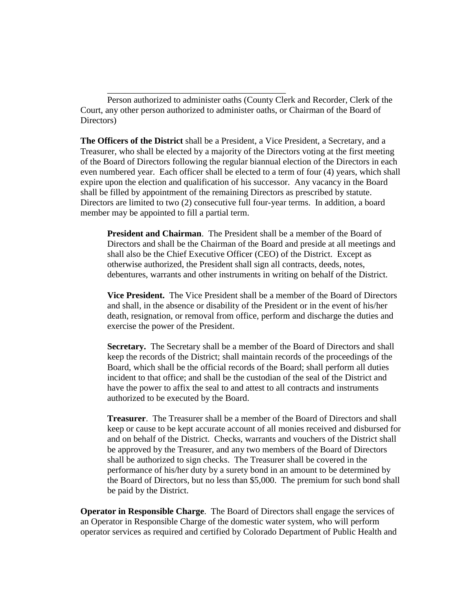Person authorized to administer oaths (County Clerk and Recorder, Clerk of the Court, any other person authorized to administer oaths, or Chairman of the Board of Directors)

\_\_\_\_\_\_\_\_\_\_\_\_\_\_\_\_\_\_\_\_\_\_\_\_\_\_\_\_\_\_\_\_\_\_\_\_\_\_\_\_

**The Officers of the District** shall be a President, a Vice President, a Secretary, and a Treasurer, who shall be elected by a majority of the Directors voting at the first meeting of the Board of Directors following the regular biannual election of the Directors in each even numbered year. Each officer shall be elected to a term of four (4) years, which shall expire upon the election and qualification of his successor. Any vacancy in the Board shall be filled by appointment of the remaining Directors as prescribed by statute. Directors are limited to two (2) consecutive full four-year terms. In addition, a board member may be appointed to fill a partial term.

**President and Chairman**. The President shall be a member of the Board of Directors and shall be the Chairman of the Board and preside at all meetings and shall also be the Chief Executive Officer (CEO) of the District. Except as otherwise authorized, the President shall sign all contracts, deeds, notes, debentures, warrants and other instruments in writing on behalf of the District.

**Vice President.** The Vice President shall be a member of the Board of Directors and shall, in the absence or disability of the President or in the event of his/her death, resignation, or removal from office, perform and discharge the duties and exercise the power of the President.

**Secretary.** The Secretary shall be a member of the Board of Directors and shall keep the records of the District; shall maintain records of the proceedings of the Board, which shall be the official records of the Board; shall perform all duties incident to that office; and shall be the custodian of the seal of the District and have the power to affix the seal to and attest to all contracts and instruments authorized to be executed by the Board.

**Treasurer**. The Treasurer shall be a member of the Board of Directors and shall keep or cause to be kept accurate account of all monies received and disbursed for and on behalf of the District. Checks, warrants and vouchers of the District shall be approved by the Treasurer, and any two members of the Board of Directors shall be authorized to sign checks. The Treasurer shall be covered in the performance of his/her duty by a surety bond in an amount to be determined by the Board of Directors, but no less than \$5,000. The premium for such bond shall be paid by the District.

**Operator in Responsible Charge**. The Board of Directors shall engage the services of an Operator in Responsible Charge of the domestic water system, who will perform operator services as required and certified by Colorado Department of Public Health and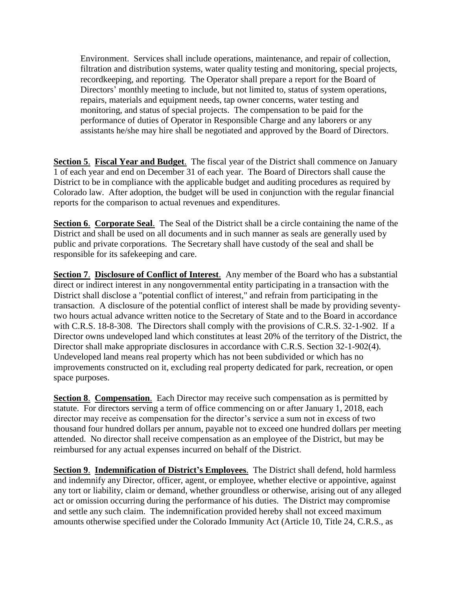Environment. Services shall include operations, maintenance, and repair of collection, filtration and distribution systems, water quality testing and monitoring, special projects, recordkeeping, and reporting. The Operator shall prepare a report for the Board of Directors' monthly meeting to include, but not limited to, status of system operations, repairs, materials and equipment needs, tap owner concerns, water testing and monitoring, and status of special projects. The compensation to be paid for the performance of duties of Operator in Responsible Charge and any laborers or any assistants he/she may hire shall be negotiated and approved by the Board of Directors.

**Section 5**. **Fiscal Year and Budget**. The fiscal year of the District shall commence on January 1 of each year and end on December 31 of each year. The Board of Directors shall cause the District to be in compliance with the applicable budget and auditing procedures as required by Colorado law. After adoption, the budget will be used in conjunction with the regular financial reports for the comparison to actual revenues and expenditures.

**Section 6**. **Corporate Seal**. The Seal of the District shall be a circle containing the name of the District and shall be used on all documents and in such manner as seals are generally used by public and private corporations. The Secretary shall have custody of the seal and shall be responsible for its safekeeping and care.

**Section 7**. **Disclosure of Conflict of Interest**. Any member of the Board who has a substantial direct or indirect interest in any nongovernmental entity participating in a transaction with the District shall disclose a "potential conflict of interest," and refrain from participating in the transaction. A disclosure of the potential conflict of interest shall be made by providing seventytwo hours actual advance written notice to the Secretary of State and to the Board in accordance with C.R.S. 18-8-308. The Directors shall comply with the provisions of C.R.S. 32-1-902. If a Director owns undeveloped land which constitutes at least 20% of the territory of the District, the Director shall make appropriate disclosures in accordance with C.R.S. Section 32-1-902(4). Undeveloped land means real property which has not been subdivided or which has no improvements constructed on it, excluding real property dedicated for park, recreation, or open space purposes.

**Section 8**. **Compensation**. Each Director may receive such compensation as is permitted by statute. For directors serving a term of office commencing on or after January 1, 2018, each director may receive as compensation for the director's service a sum not in excess of two thousand four hundred dollars per annum, payable not to exceed one hundred dollars per meeting attended. No director shall receive compensation as an employee of the District, but may be reimbursed for any actual expenses incurred on behalf of the District.

**Section 9**. **Indemnification of District's Employees**. The District shall defend, hold harmless and indemnify any Director, officer, agent, or employee, whether elective or appointive, against any tort or liability, claim or demand, whether groundless or otherwise, arising out of any alleged act or omission occurring during the performance of his duties. The District may compromise and settle any such claim. The indemnification provided hereby shall not exceed maximum amounts otherwise specified under the Colorado Immunity Act (Article 10, Title 24, C.R.S., as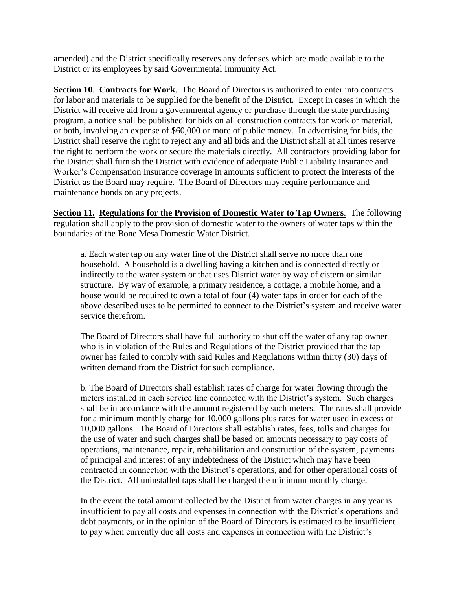amended) and the District specifically reserves any defenses which are made available to the District or its employees by said Governmental Immunity Act.

**Section 10**. **Contracts for Work**. The Board of Directors is authorized to enter into contracts for labor and materials to be supplied for the benefit of the District. Except in cases in which the District will receive aid from a governmental agency or purchase through the state purchasing program, a notice shall be published for bids on all construction contracts for work or material, or both, involving an expense of \$60,000 or more of public money. In advertising for bids, the District shall reserve the right to reject any and all bids and the District shall at all times reserve the right to perform the work or secure the materials directly. All contractors providing labor for the District shall furnish the District with evidence of adequate Public Liability Insurance and Worker's Compensation Insurance coverage in amounts sufficient to protect the interests of the District as the Board may require. The Board of Directors may require performance and maintenance bonds on any projects.

**Section 11. Regulations for the Provision of Domestic Water to Tap Owners**. The following regulation shall apply to the provision of domestic water to the owners of water taps within the boundaries of the Bone Mesa Domestic Water District.

a. Each water tap on any water line of the District shall serve no more than one household. A household is a dwelling having a kitchen and is connected directly or indirectly to the water system or that uses District water by way of cistern or similar structure. By way of example, a primary residence, a cottage, a mobile home, and a house would be required to own a total of four (4) water taps in order for each of the above described uses to be permitted to connect to the District's system and receive water service therefrom.

The Board of Directors shall have full authority to shut off the water of any tap owner who is in violation of the Rules and Regulations of the District provided that the tap owner has failed to comply with said Rules and Regulations within thirty (30) days of written demand from the District for such compliance.

b. The Board of Directors shall establish rates of charge for water flowing through the meters installed in each service line connected with the District's system. Such charges shall be in accordance with the amount registered by such meters. The rates shall provide for a minimum monthly charge for 10,000 gallons plus rates for water used in excess of 10,000 gallons. The Board of Directors shall establish rates, fees, tolls and charges for the use of water and such charges shall be based on amounts necessary to pay costs of operations, maintenance, repair, rehabilitation and construction of the system, payments of principal and interest of any indebtedness of the District which may have been contracted in connection with the District's operations, and for other operational costs of the District. All uninstalled taps shall be charged the minimum monthly charge.

In the event the total amount collected by the District from water charges in any year is insufficient to pay all costs and expenses in connection with the District's operations and debt payments, or in the opinion of the Board of Directors is estimated to be insufficient to pay when currently due all costs and expenses in connection with the District's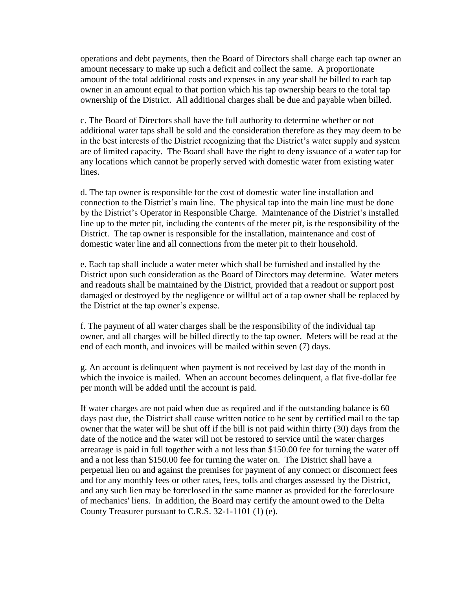operations and debt payments, then the Board of Directors shall charge each tap owner an amount necessary to make up such a deficit and collect the same. A proportionate amount of the total additional costs and expenses in any year shall be billed to each tap owner in an amount equal to that portion which his tap ownership bears to the total tap ownership of the District. All additional charges shall be due and payable when billed.

c. The Board of Directors shall have the full authority to determine whether or not additional water taps shall be sold and the consideration therefore as they may deem to be in the best interests of the District recognizing that the District's water supply and system are of limited capacity. The Board shall have the right to deny issuance of a water tap for any locations which cannot be properly served with domestic water from existing water lines.

d. The tap owner is responsible for the cost of domestic water line installation and connection to the District's main line. The physical tap into the main line must be done by the District's Operator in Responsible Charge. Maintenance of the District's installed line up to the meter pit, including the contents of the meter pit, is the responsibility of the District. The tap owner is responsible for the installation, maintenance and cost of domestic water line and all connections from the meter pit to their household.

e. Each tap shall include a water meter which shall be furnished and installed by the District upon such consideration as the Board of Directors may determine. Water meters and readouts shall be maintained by the District, provided that a readout or support post damaged or destroyed by the negligence or willful act of a tap owner shall be replaced by the District at the tap owner's expense.

f. The payment of all water charges shall be the responsibility of the individual tap owner, and all charges will be billed directly to the tap owner. Meters will be read at the end of each month, and invoices will be mailed within seven (7) days.

g. An account is delinquent when payment is not received by last day of the month in which the invoice is mailed. When an account becomes delinquent, a flat five-dollar fee per month will be added until the account is paid.

If water charges are not paid when due as required and if the outstanding balance is 60 days past due, the District shall cause written notice to be sent by certified mail to the tap owner that the water will be shut off if the bill is not paid within thirty (30) days from the date of the notice and the water will not be restored to service until the water charges arrearage is paid in full together with a not less than \$150.00 fee for turning the water off and a not less than \$150.00 fee for turning the water on. The District shall have a perpetual lien on and against the premises for payment of any connect or disconnect fees and for any monthly fees or other rates, fees, tolls and charges assessed by the District, and any such lien may be foreclosed in the same manner as provided for the foreclosure of mechanics' liens. In addition, the Board may certify the amount owed to the Delta County Treasurer pursuant to C.R.S. 32-1-1101 (1) (e).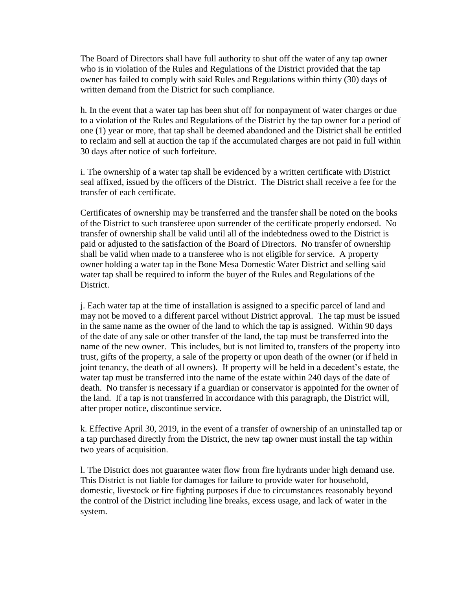The Board of Directors shall have full authority to shut off the water of any tap owner who is in violation of the Rules and Regulations of the District provided that the tap owner has failed to comply with said Rules and Regulations within thirty (30) days of written demand from the District for such compliance.

h. In the event that a water tap has been shut off for nonpayment of water charges or due to a violation of the Rules and Regulations of the District by the tap owner for a period of one (1) year or more, that tap shall be deemed abandoned and the District shall be entitled to reclaim and sell at auction the tap if the accumulated charges are not paid in full within 30 days after notice of such forfeiture.

i. The ownership of a water tap shall be evidenced by a written certificate with District seal affixed, issued by the officers of the District. The District shall receive a fee for the transfer of each certificate.

Certificates of ownership may be transferred and the transfer shall be noted on the books of the District to such transferee upon surrender of the certificate properly endorsed. No transfer of ownership shall be valid until all of the indebtedness owed to the District is paid or adjusted to the satisfaction of the Board of Directors. No transfer of ownership shall be valid when made to a transferee who is not eligible for service. A property owner holding a water tap in the Bone Mesa Domestic Water District and selling said water tap shall be required to inform the buyer of the Rules and Regulations of the District.

j. Each water tap at the time of installation is assigned to a specific parcel of land and may not be moved to a different parcel without District approval. The tap must be issued in the same name as the owner of the land to which the tap is assigned. Within 90 days of the date of any sale or other transfer of the land, the tap must be transferred into the name of the new owner. This includes, but is not limited to, transfers of the property into trust, gifts of the property, a sale of the property or upon death of the owner (or if held in joint tenancy, the death of all owners). If property will be held in a decedent's estate, the water tap must be transferred into the name of the estate within 240 days of the date of death. No transfer is necessary if a guardian or conservator is appointed for the owner of the land. If a tap is not transferred in accordance with this paragraph, the District will, after proper notice, discontinue service.

k. Effective April 30, 2019, in the event of a transfer of ownership of an uninstalled tap or a tap purchased directly from the District, the new tap owner must install the tap within two years of acquisition.

l. The District does not guarantee water flow from fire hydrants under high demand use. This District is not liable for damages for failure to provide water for household, domestic, livestock or fire fighting purposes if due to circumstances reasonably beyond the control of the District including line breaks, excess usage, and lack of water in the system.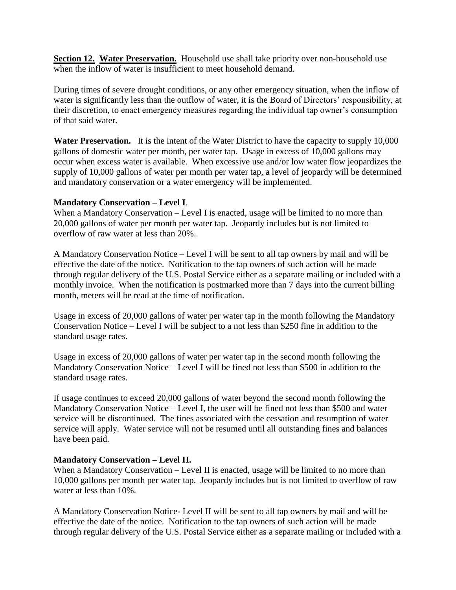**Section 12. Water Preservation.** Household use shall take priority over non-household use when the inflow of water is insufficient to meet household demand.

During times of severe drought conditions, or any other emergency situation, when the inflow of water is significantly less than the outflow of water, it is the Board of Directors' responsibility, at their discretion, to enact emergency measures regarding the individual tap owner's consumption of that said water.

**Water Preservation.** It is the intent of the Water District to have the capacity to supply 10,000 gallons of domestic water per month, per water tap. Usage in excess of 10,000 gallons may occur when excess water is available. When excessive use and/or low water flow jeopardizes the supply of 10,000 gallons of water per month per water tap, a level of jeopardy will be determined and mandatory conservation or a water emergency will be implemented.

### **Mandatory Conservation – Level I**.

When a Mandatory Conservation – Level I is enacted, usage will be limited to no more than 20,000 gallons of water per month per water tap. Jeopardy includes but is not limited to overflow of raw water at less than 20%.

A Mandatory Conservation Notice – Level I will be sent to all tap owners by mail and will be effective the date of the notice. Notification to the tap owners of such action will be made through regular delivery of the U.S. Postal Service either as a separate mailing or included with a monthly invoice. When the notification is postmarked more than 7 days into the current billing month, meters will be read at the time of notification.

Usage in excess of 20,000 gallons of water per water tap in the month following the Mandatory Conservation Notice – Level I will be subject to a not less than \$250 fine in addition to the standard usage rates.

Usage in excess of 20,000 gallons of water per water tap in the second month following the Mandatory Conservation Notice – Level I will be fined not less than \$500 in addition to the standard usage rates.

If usage continues to exceed 20,000 gallons of water beyond the second month following the Mandatory Conservation Notice – Level I, the user will be fined not less than \$500 and water service will be discontinued. The fines associated with the cessation and resumption of water service will apply. Water service will not be resumed until all outstanding fines and balances have been paid.

## **Mandatory Conservation – Level II.**

When a Mandatory Conservation – Level II is enacted, usage will be limited to no more than 10,000 gallons per month per water tap. Jeopardy includes but is not limited to overflow of raw water at less than 10%.

A Mandatory Conservation Notice- Level II will be sent to all tap owners by mail and will be effective the date of the notice. Notification to the tap owners of such action will be made through regular delivery of the U.S. Postal Service either as a separate mailing or included with a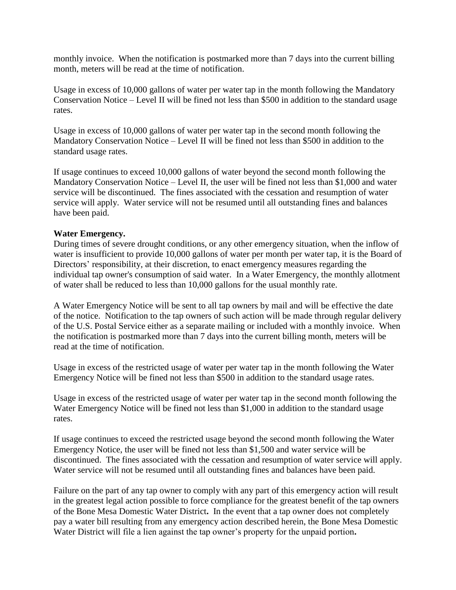monthly invoice. When the notification is postmarked more than 7 days into the current billing month, meters will be read at the time of notification.

Usage in excess of 10,000 gallons of water per water tap in the month following the Mandatory Conservation Notice – Level II will be fined not less than \$500 in addition to the standard usage rates.

Usage in excess of 10,000 gallons of water per water tap in the second month following the Mandatory Conservation Notice – Level II will be fined not less than \$500 in addition to the standard usage rates.

If usage continues to exceed 10,000 gallons of water beyond the second month following the Mandatory Conservation Notice – Level II, the user will be fined not less than \$1,000 and water service will be discontinued. The fines associated with the cessation and resumption of water service will apply. Water service will not be resumed until all outstanding fines and balances have been paid.

### **Water Emergency.**

During times of severe drought conditions, or any other emergency situation, when the inflow of water is insufficient to provide 10,000 gallons of water per month per water tap, it is the Board of Directors' responsibility, at their discretion, to enact emergency measures regarding the individual tap owner's consumption of said water. In a Water Emergency, the monthly allotment of water shall be reduced to less than 10,000 gallons for the usual monthly rate.

A Water Emergency Notice will be sent to all tap owners by mail and will be effective the date of the notice. Notification to the tap owners of such action will be made through regular delivery of the U.S. Postal Service either as a separate mailing or included with a monthly invoice. When the notification is postmarked more than 7 days into the current billing month, meters will be read at the time of notification.

Usage in excess of the restricted usage of water per water tap in the month following the Water Emergency Notice will be fined not less than \$500 in addition to the standard usage rates.

Usage in excess of the restricted usage of water per water tap in the second month following the Water Emergency Notice will be fined not less than \$1,000 in addition to the standard usage rates.

If usage continues to exceed the restricted usage beyond the second month following the Water Emergency Notice, the user will be fined not less than \$1,500 and water service will be discontinued. The fines associated with the cessation and resumption of water service will apply. Water service will not be resumed until all outstanding fines and balances have been paid.

Failure on the part of any tap owner to comply with any part of this emergency action will result in the greatest legal action possible to force compliance for the greatest benefit of the tap owners of the Bone Mesa Domestic Water District**.** In the event that a tap owner does not completely pay a water bill resulting from any emergency action described herein, the Bone Mesa Domestic Water District will file a lien against the tap owner's property for the unpaid portion**.**